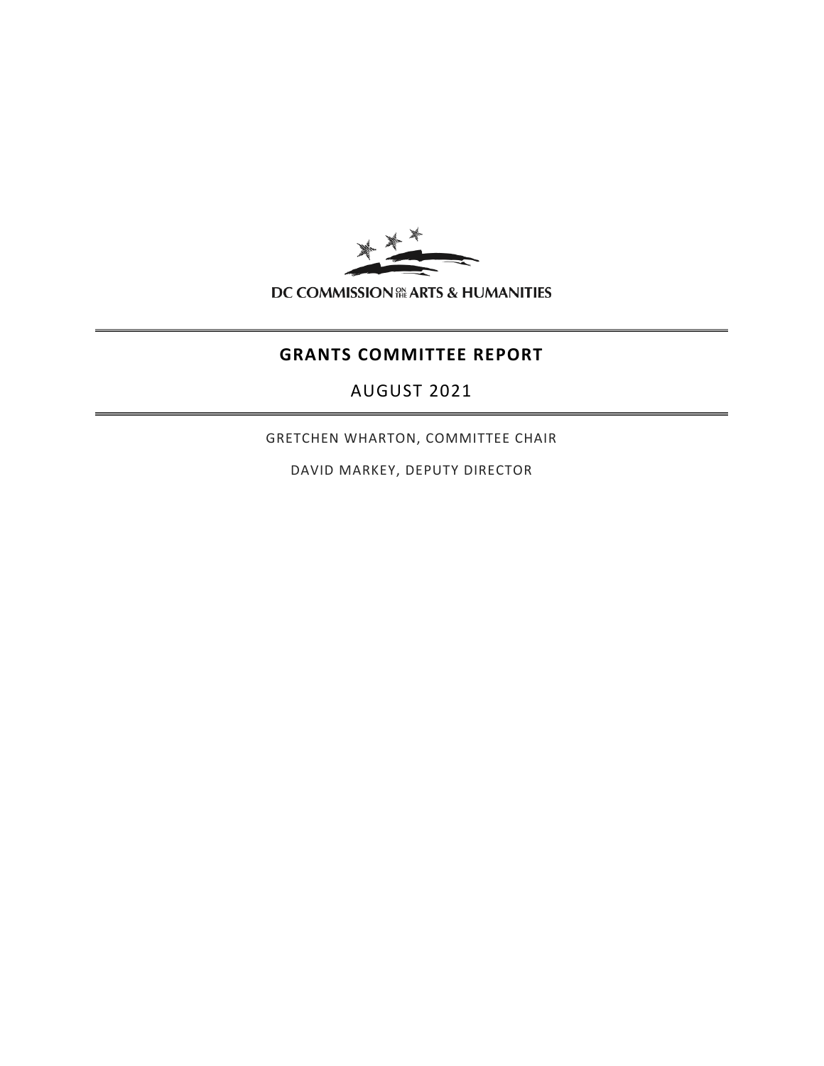

# **GRANTS COMMITTEE REPORT**

AUGUST 2021

GRETCHEN WHARTON, COMMITTEE CHAIR

DAVID MARKEY, DEPUTY DIRECTOR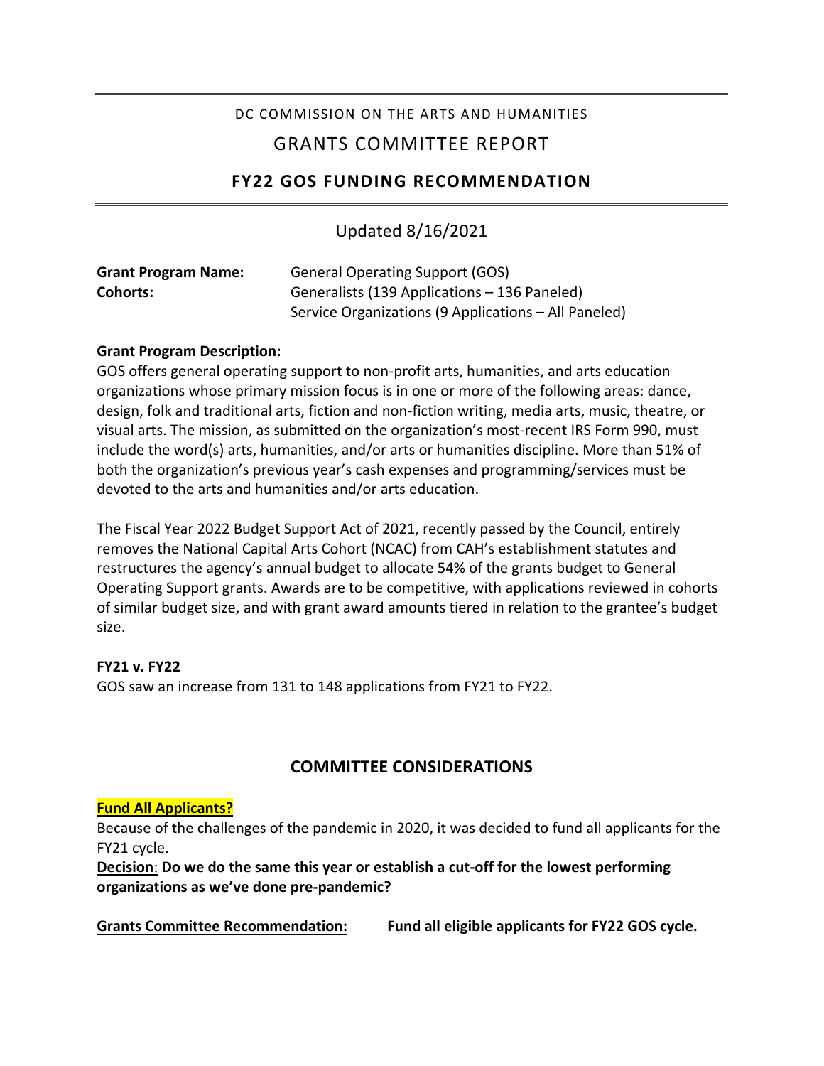## DC COMMISSION ON THE ARTS AND HUMANITIES

# GRANTS COMMITTEE REPORT

## **FY22 GOS FUNDING RECOMMENDATION**

## Updated 8/16/2021

| <b>Grant Program Name:</b> | <b>General Operating Support (GOS)</b>               |
|----------------------------|------------------------------------------------------|
| <b>Cohorts:</b>            | Generalists (139 Applications – 136 Paneled)         |
|                            | Service Organizations (9 Applications – All Paneled) |

#### **Grant Program Description:**

GOS offers general operating support to non-profit arts, humanities, and arts education organizations whose primary mission focus is in one or more of the following areas: dance, design, folk and traditional arts, fiction and non-fiction writing, media arts, music, theatre, or visual arts. The mission, as submitted on the organization's most-recent IRS Form 990, must include the word(s) arts, humanities, and/or arts or humanities discipline. More than 51% of both the organization's previous year's cash expenses and programming/services must be devoted to the arts and humanities and/or arts education.

The Fiscal Year 2022 Budget Support Act of 2021, recently passed by the Council, entirely removes the National Capital Arts Cohort (NCAC) from CAH's establishment statutes and restructures the agency's annual budget to allocate 54% of the grants budget to General Operating Support grants. Awards are to be competitive, with applications reviewed in cohorts of similar budget size, and with grant award amounts tiered in relation to the grantee's budget size.

## **FY21 v. FY22**

GOS saw an increase from 131 to 148 applications from FY21 to FY22.

## **COMMITTEE CONSIDERATIONS**

#### **Fund All Applicants?**

Because of the challenges of the pandemic in 2020, it was decided to fund all applicants for the FY21 cycle.

**Decision**: **Do we do the same this year or establish a cut-off for the lowest performing organizations as we've done pre-pandemic?** 

**Grants Committee Recommendation: Fund all eligible applicants for FY22 GOS cycle.**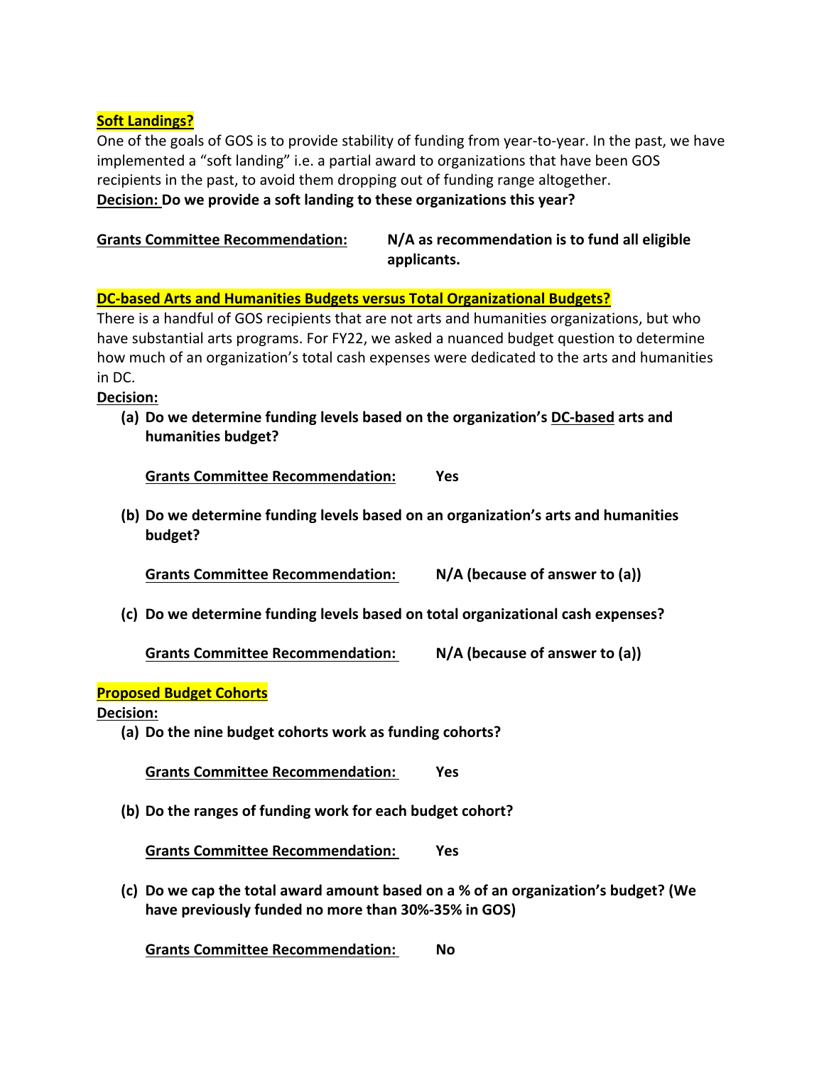#### **Soft Landings?**

One of the goals of GOS is to provide stability of funding from year-to-year. In the past, we have implemented a "soft landing" i.e. a partial award to organizations that have been GOS recipients in the past, to avoid them dropping out of funding range altogether. **Decision: Do we provide a soft landing to these organizations this year?** 

| <b>Grants Committee Recommendation:</b> | N/A as recommendation is to fund all eligible |
|-----------------------------------------|-----------------------------------------------|
|                                         | applicants.                                   |

#### **DC-based Arts and Humanities Budgets versus Total Organizational Budgets?**

There is a handful of GOS recipients that are not arts and humanities organizations, but who have substantial arts programs. For FY22, we asked a nuanced budget question to determine how much of an organization's total cash expenses were dedicated to the arts and humanities in DC.

**Decision:**

**(a) Do we determine funding levels based on the organization's DC-based arts and humanities budget?**

**Grants Committee Recommendation: Yes**

**(b) Do we determine funding levels based on an organization's arts and humanities budget?**

**Grants Committee Recommendation: N/A (because of answer to (a))**

**(c) Do we determine funding levels based on total organizational cash expenses?**

**Grants Committee Recommendation: N/A (because of answer to (a))**

#### **Proposed Budget Cohorts**

**Decision:**

**(a) Do the nine budget cohorts work as funding cohorts?**

**Grants Committee Recommendation: Yes**

**(b) Do the ranges of funding work for each budget cohort?**

**Grants Committee Recommendation: Yes**

**(c) Do we cap the total award amount based on a % of an organization's budget? (We have previously funded no more than 30%-35% in GOS)**

**Grants Committee Recommendation: No**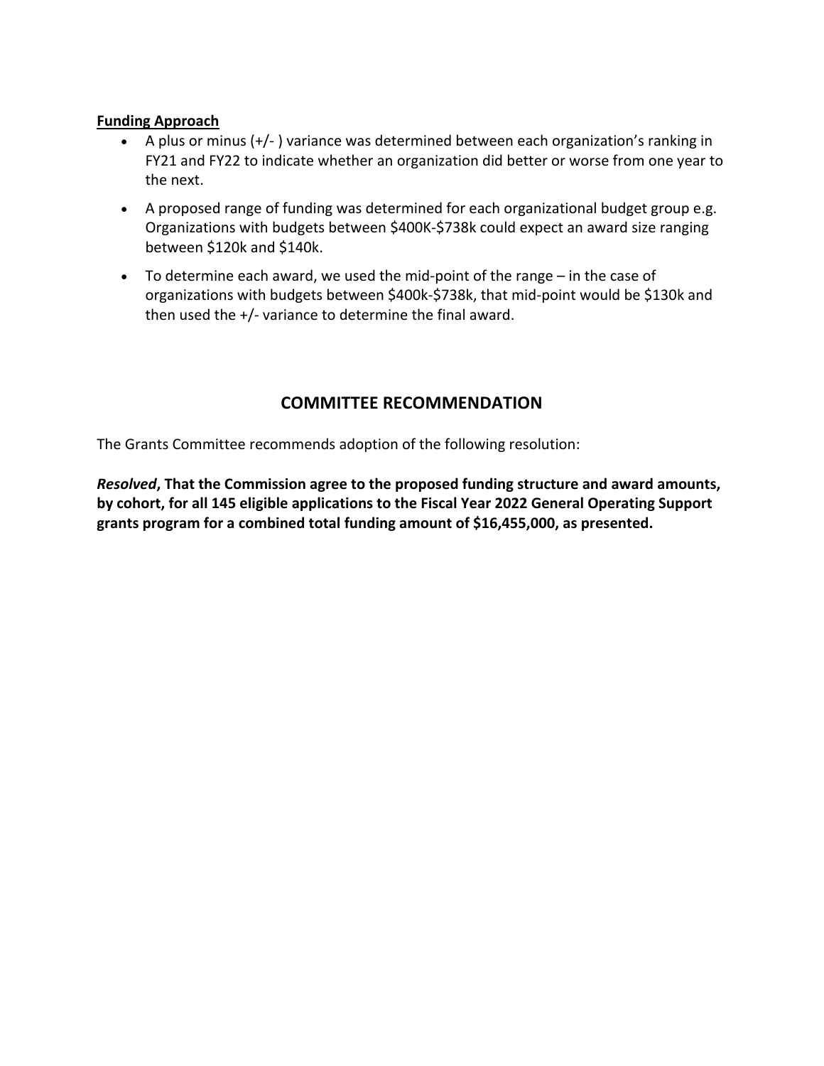#### **Funding Approach**

- A plus or minus (+/- ) variance was determined between each organization's ranking in FY21 and FY22 to indicate whether an organization did better or worse from one year to the next.
- A proposed range of funding was determined for each organizational budget group e.g. Organizations with budgets between \$400K-\$738k could expect an award size ranging between \$120k and \$140k.
- To determine each award, we used the mid-point of the range in the case of organizations with budgets between \$400k-\$738k, that mid-point would be \$130k and then used the +/- variance to determine the final award.

# **COMMITTEE RECOMMENDATION**

The Grants Committee recommends adoption of the following resolution:

*Resolved***, That the Commission agree to the proposed funding structure and award amounts, by cohort, for all 145 eligible applications to the Fiscal Year 2022 General Operating Support grants program for a combined total funding amount of \$16,455,000, as presented.**